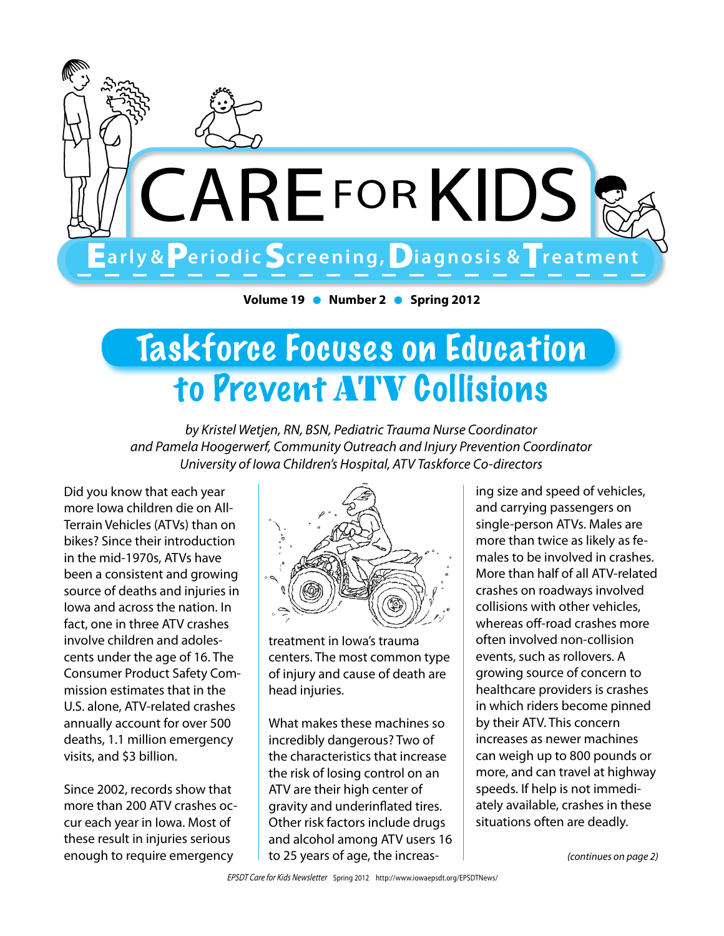

**Volume 19 • Number 2 • Spring 2012** 

## Taskforce Focuses on Education to Prevent ATV Collisions

*by Kristel Wetjen, RN, BSN, Pediatric Trauma Nurse Coordinator and Pamela Hoogerwerf, Community Outreach and Injury Prevention Coordinator University of Iowa Children's Hospital, ATV Taskforce Co-directors*

Did you know that each year more Iowa children die on All-Terrain Vehicles (ATVs) than on bikes? Since their introduction in the mid-1970s, ATVs have been a consistent and growing source of deaths and injuries in Iowa and across the nation. In fact, one in three ATV crashes involve children and adolescents under the age of 16. The Consumer Product Safety Commission estimates that in the U.S. alone, ATV-related crashes annually account for over 500 deaths, 1.1 million emergency visits, and \$3 billion.

Since 2002, records show that more than 200 ATV crashes occur each year in Iowa. Most of these result in injuries serious enough to require emergency



treatment in Iowa's trauma centers. The most common type of injury and cause of death are head injuries.

What makes these machines so incredibly dangerous? Two of the characteristics that increase the risk of losing control on an ATV are their high center of gravity and underinflated tires. Other risk factors include drugs and alcohol among ATV users 16 to 25 years of age, the increasing size and speed of vehicles, and carrying passengers on single-person ATVs. Males are more than twice as likely as females to be involved in crashes. More than half of all ATV-related crashes on roadways involved collisions with other vehicles, whereas off-road crashes more often involved non-collision events, such as rollovers. A growing source of concern to healthcare providers is crashes in which riders become pinned by their ATV. This concern increases as newer machines can weigh up to 800 pounds or more, and can travel at highway speeds. If help is not immediately available, crashes in these situations often are deadly.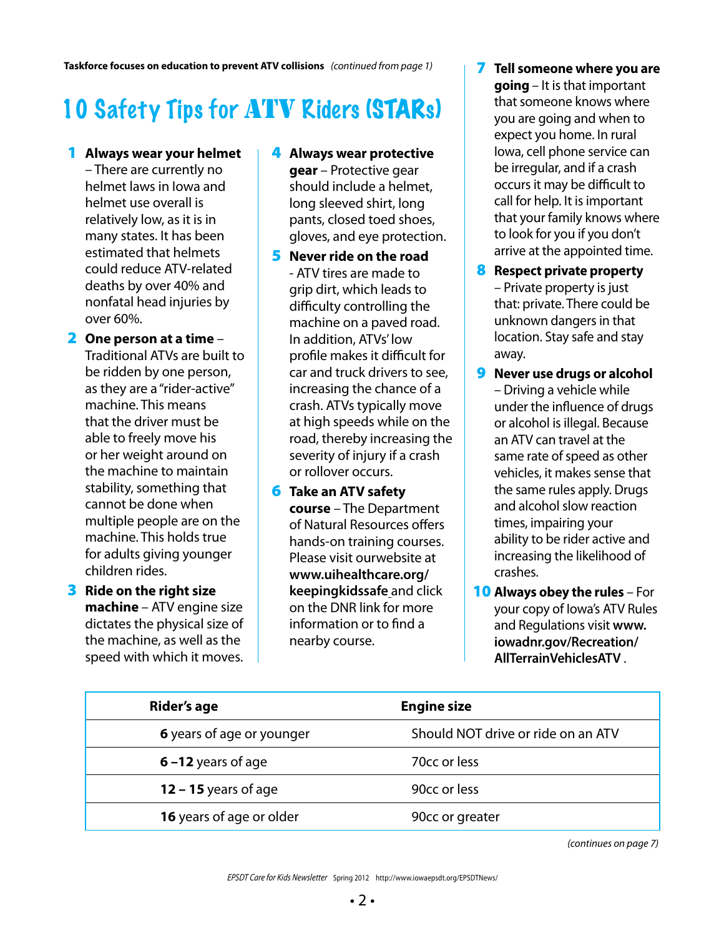**Taskforce focuses on education to prevent ATV collisions** *(continued from page 1)*

### 10 Safety Tips for ATV Riders (STARs)

- 1 **Always wear your helmet**  – There are currently no helmet laws in Iowa and helmet use overall is relatively low, as it is in many states. It has been estimated that helmets could reduce ATV-related deaths by over 40% and nonfatal head injuries by over 60%.
- 2 **One person at a time** Traditional ATVs are built to be ridden by one person, as they are a "rider-active" machine. This means that the driver must be able to freely move his or her weight around on the machine to maintain stability, something that cannot be done when multiple people are on the machine. This holds true for adults giving younger children rides.
- 3 **Ride on the right size machine** – ATV engine size dictates the physical size of the machine, as well as the speed with which it moves.
- 4 **Always wear protective gear** – Protective gear should include a helmet, long sleeved shirt, long pants, closed toed shoes, gloves, and eye protection.
- 5 **Never ride on the road** - ATV tires are made to grip dirt, which leads to difficulty controlling the machine on a paved road. In addition, ATVs' low profile makes it difficult for car and truck drivers to see, increasing the chance of a crash. ATVs typically move at high speeds while on the road, thereby increasing the severity of injury if a crash or rollover occurs.
- 6 **Take an ATV safety course** – The Department of Natural Resources offers hands-on training courses. Please visit ourwebsite at **www.uihealthcare.org/ keepingkidssafe** and click on the DNR link for more information or to find a nearby course.
- 7 **Tell someone where you are going** – It is that important that someone knows where you are going and when to expect you home. In rural Iowa, cell phone service can be irregular, and if a crash occurs it may be difficult to call for help. It is important that your family knows where to look for you if you don't arrive at the appointed time.
- 8 **Respect private property**  – Private property is just that: private. There could be unknown dangers in that location. Stay safe and stay away.
- 9 **Never use drugs or alcohol**  – Driving a vehicle while under the influence of drugs or alcohol is illegal. Because an ATV can travel at the same rate of speed as other vehicles, it makes sense that the same rules apply. Drugs and alcohol slow reaction times, impairing your ability to be rider active and increasing the likelihood of crashes.
- 10 **Always obey the rules** For your copy of Iowa's ATV Rules and Regulations visit **www. iowadnr.gov/Recreation/ AllTerrainVehiclesATV** .

| Rider's age                      | <b>Engine size</b>                 |  |  |
|----------------------------------|------------------------------------|--|--|
| <b>6</b> years of age or younger | Should NOT drive or ride on an ATV |  |  |
| $6 - 12$ years of age            | 70 <sub>cc</sub> or less           |  |  |
| 12 – 15 years of age             | 90 <sub>cc</sub> or less           |  |  |
| 16 years of age or older         | 90 <sub>cc</sub> or greater        |  |  |

*(continues on page 7)*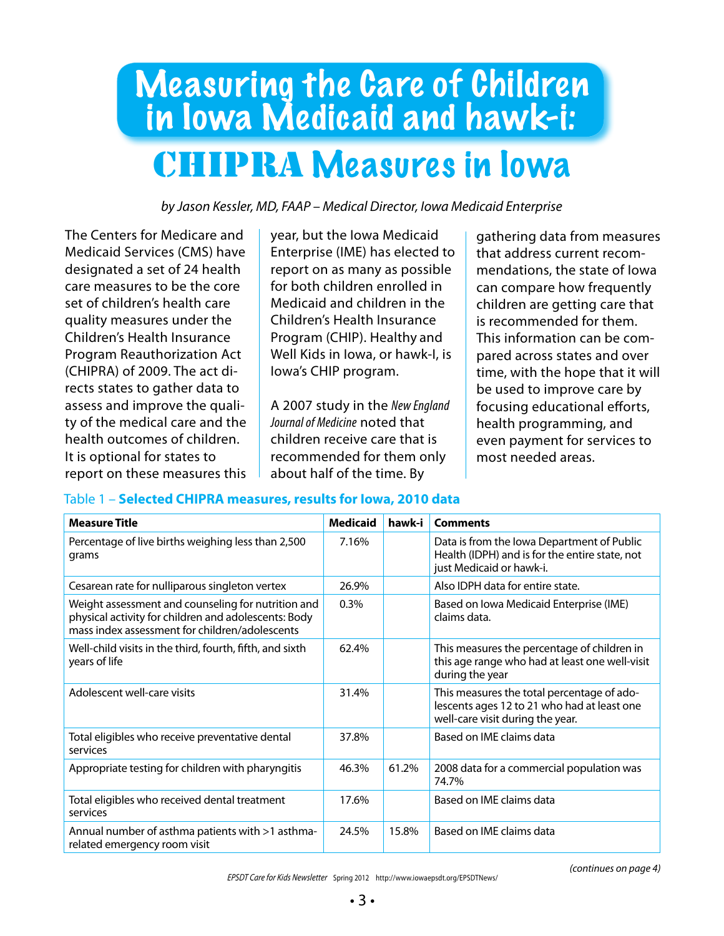### Measuring the Care of Children in Iowa Medicaid and hawk-i: CHIPRA Measures in Iowa

*by Jason Kessler, MD, FAAP – Medical Director, Iowa Medicaid Enterprise*

The Centers for Medicare and Medicaid Services (CMS) have designated a set of 24 health care measures to be the core set of children's health care quality measures under the Children's Health Insurance Program Reauthorization Act (CHIPRA) of 2009. The act directs states to gather data to assess and improve the quality of the medical care and the health outcomes of children. It is optional for states to report on these measures this year, but the Iowa Medicaid Enterprise (IME) has elected to report on as many as possible for both children enrolled in Medicaid and children in the Children's Health Insurance Program (CHIP). Healthy and Well Kids in Iowa, or hawk-I, is Iowa's CHIP program.

A 2007 study in the *New England Journal of Medicine* noted that children receive care that is recommended for them only about half of the time. By

gathering data from measures that address current recommendations, the state of Iowa can compare how frequently children are getting care that is recommended for them. This information can be compared across states and over time, with the hope that it will be used to improve care by focusing educational efforts, health programming, and even payment for services to most needed areas.

#### Table 1 – **Selected CHIPRA measures, results for Iowa, 2010 data**

| <b>Measure Title</b>                                                                                                                                         | <b>Medicaid</b> | hawk-i | <b>Comments</b>                                                                                                               |
|--------------------------------------------------------------------------------------------------------------------------------------------------------------|-----------------|--------|-------------------------------------------------------------------------------------------------------------------------------|
| Percentage of live births weighing less than 2,500<br>grams                                                                                                  | 7.16%           |        | Data is from the Iowa Department of Public<br>Health (IDPH) and is for the entire state, not<br>just Medicaid or hawk-i.      |
| Cesarean rate for nulliparous singleton vertex                                                                                                               | 26.9%           |        | Also IDPH data for entire state.                                                                                              |
| Weight assessment and counseling for nutrition and<br>physical activity for children and adolescents: Body<br>mass index assessment for children/adolescents | 0.3%            |        | Based on Iowa Medicaid Enterprise (IME)<br>claims data.                                                                       |
| Well-child visits in the third, fourth, fifth, and sixth<br>years of life                                                                                    | 62.4%           |        | This measures the percentage of children in<br>this age range who had at least one well-visit<br>during the year              |
| Adolescent well-care visits                                                                                                                                  | 31.4%           |        | This measures the total percentage of ado-<br>lescents ages 12 to 21 who had at least one<br>well-care visit during the year. |
| Total eligibles who receive preventative dental<br>services                                                                                                  | 37.8%           |        | Based on IMF claims data                                                                                                      |
| Appropriate testing for children with pharyngitis                                                                                                            | 46.3%           | 61.2%  | 2008 data for a commercial population was<br>74.7%                                                                            |
| Total eligibles who received dental treatment<br>services                                                                                                    | 17.6%           |        | Based on IMF claims data                                                                                                      |
| Annual number of asthma patients with >1 asthma-<br>related emergency room visit                                                                             | 24.5%           | 15.8%  | Based on IMF claims data                                                                                                      |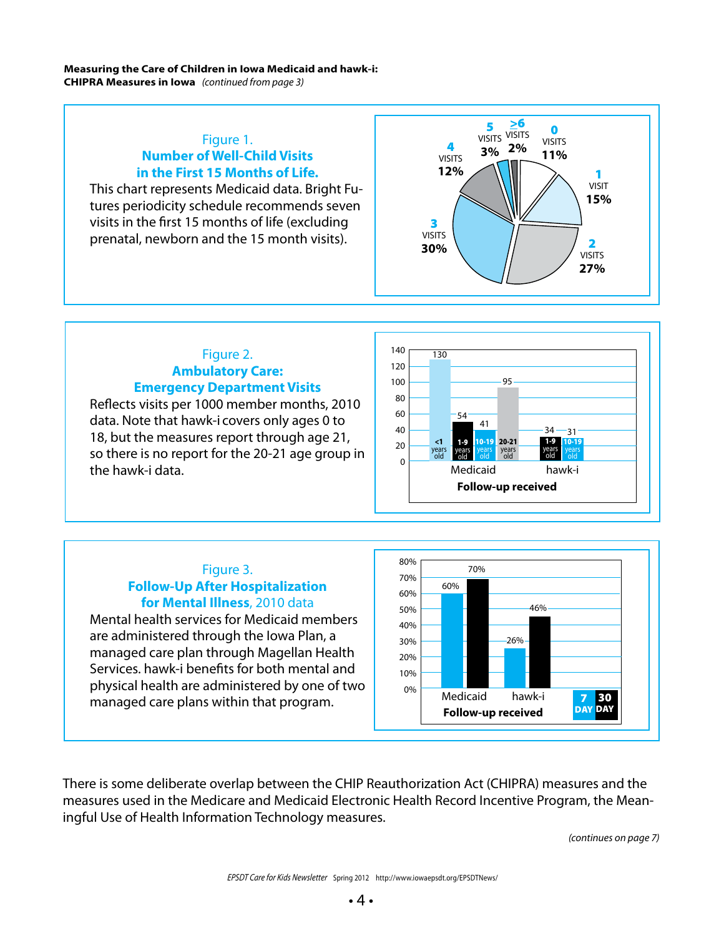#### **Measuring the Care of Children in Iowa Medicaid and hawk-i: CHIPRA Measures in Iowa** *(continued from page 3)*

#### Figure 1. **Number of Well-Child Visits in the First 15 Months of Life.**

This chart represents Medicaid data. Bright Futures periodicity schedule recommends seven visits in the first 15 months of life (excluding prenatal, newborn and the 15 month visits).



#### Figure 2. **Ambulatory Care: Emergency Department Visits**

Reflects visits per 1000 member months, 2010 data. Note that hawk-i covers only ages 0 to 18, but the measures report through age 21, so there is no report for the 20-21 age group in the hawk-i data.

> Figure 3. **Follow-Up After Hospitalization for Mental Illness**, 2010 data

are administered through the Iowa Plan, a

managed care plans within that program.





There is some deliberate overlap between the CHIP Reauthorization Act (CHIPRA) measures and the measures used in the Medicare and Medicaid Electronic Health Record Incentive Program, the Meaningful Use of Health Information Technology measures.

*(continues on page 7)*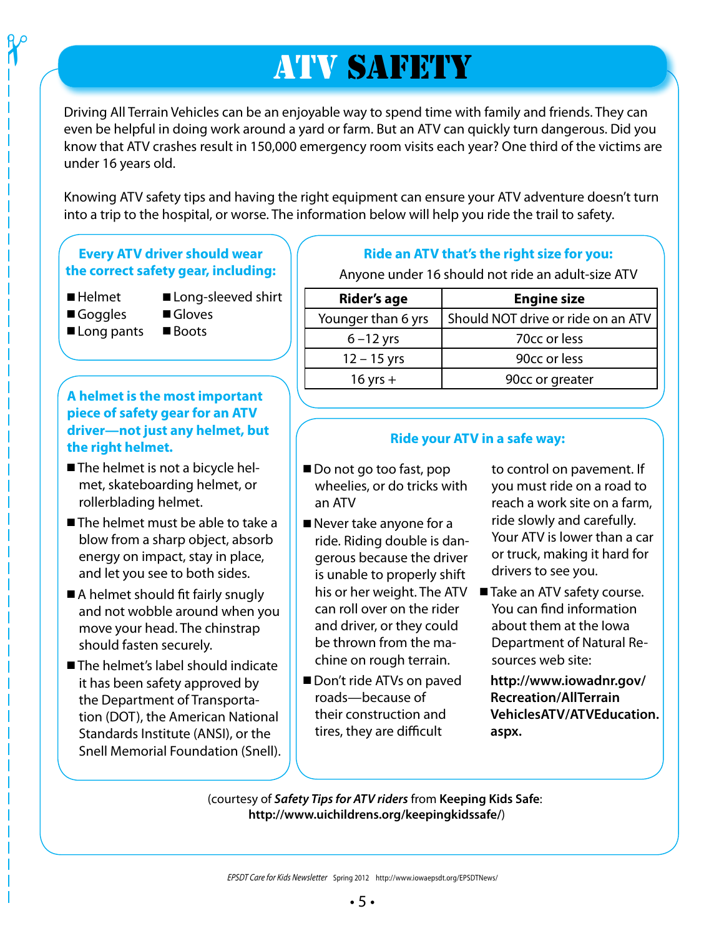### **ATV SAFETY**

Driving All Terrain Vehicles can be an enjoyable way to spend time with family and friends. They can even be helpful in doing work around a yard or farm. But an ATV can quickly turn dangerous. Did you know that ATV crashes result in 150,000 emergency room visits each year? One third of the victims are under 16 years old.

Knowing ATV safety tips and having the right equipment can ensure your ATV adventure doesn't turn into a trip to the hospital, or worse. The information below will help you ride the trail to safety.

#### **Every ATV driver should wear the correct safety gear, including:**

 $\boldsymbol{\gamma}$ 

- Helmet  **Long-sleeved shirt**
- Goggles Gloves
	-
- $\blacksquare$  Long pants  $\blacksquare$  Boots
- 

#### **A helmet is the most important piece of safety gear for an ATV driver—not just any helmet, but the right helmet.**

- The helmet is not a bicycle helmet, skateboarding helmet, or rollerblading helmet.
- $\blacksquare$  The helmet must be able to take a blow from a sharp object, absorb energy on impact, stay in place, and let you see to both sides.
- $\blacksquare$  A helmet should fit fairly snugly and not wobble around when you move your head. The chinstrap should fasten securely.
- $\blacksquare$  The helmet's label should indicate it has been safety approved by the Department of Transportation (DOT), the American National Standards Institute (ANSI), or the Snell Memorial Foundation (Snell).

#### **Ride an ATV that's the right size for you:**

Anyone under 16 should not ride an adult-size ATV

| Rider's age        | <b>Engine size</b>                 |  |  |
|--------------------|------------------------------------|--|--|
| Younger than 6 yrs | Should NOT drive or ride on an ATV |  |  |
| $6 - 12$ yrs       | 70cc or less                       |  |  |
| $12 - 15$ yrs      | 90cc or less                       |  |  |
| $16$ yrs $+$       | 90cc or greater                    |  |  |

#### **Ride your ATV in a safe way:**

- Do not go too fast, pop wheelies, or do tricks with an ATV
- $\blacksquare$  Never take anyone for a ride. Riding double is dangerous because the driver is unable to properly shift can roll over on the rider and driver, or they could be thrown from the machine on rough terrain.
- Don't ride ATVs on paved roads—because of their construction and tires, they are difficult

to control on pavement. If you must ride on a road to reach a work site on a farm, ride slowly and carefully. Your ATV is lower than a car or truck, making it hard for drivers to see you.

his or her weight. The ATV **■ Take an ATV safety course.** You can find information about them at the Iowa Department of Natural Resources web site:

> **http://www.iowadnr.gov/ Recreation/AllTerrain VehiclesATV/ATVEducation. aspx.**

(courtesy of *Safety Tips for ATV riders* from **Keeping Kids Safe**: **http://www.uichildrens.org/keepingkidssafe/**)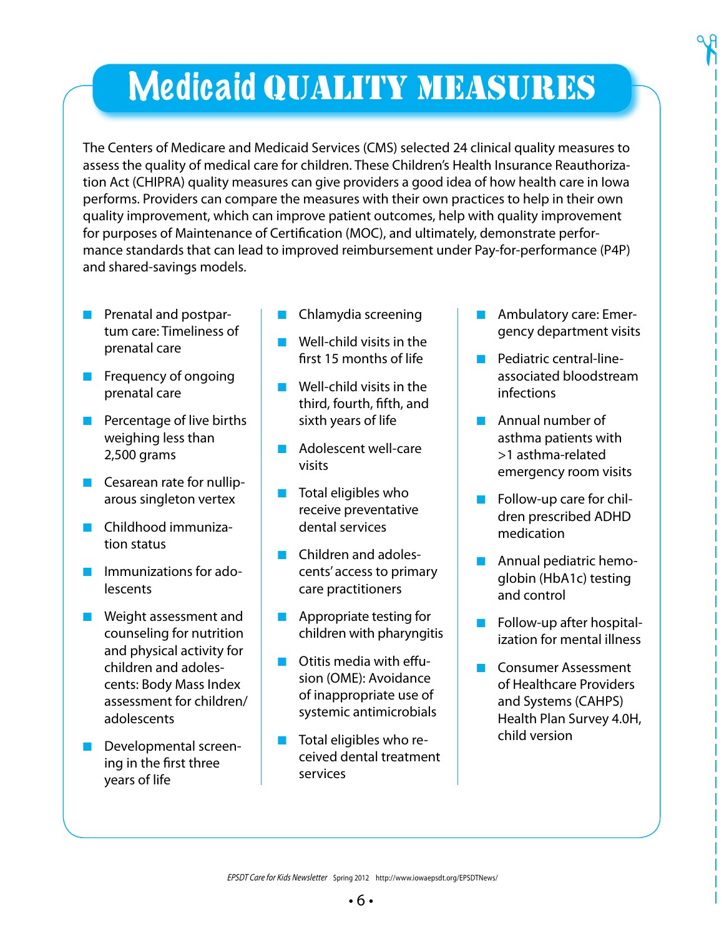# **Medicaid QUALITY MEASURES**

The Centers of Medicare and Medicaid Services (CMS) selected 24 clinical quality measures to assess the quality of medical care for children. These Children's Health Insurance Reauthorization Act (CHIPRA) quality measures can give providers a good idea of how health care in Iowa performs. Providers can compare the measures with their own practices to help in their own quality improvement, which can improve patient outcomes, help with quality improvement for purposes of Maintenance of Certification (MOC), and ultimately, demonstrate performance standards that can lead to improved reimbursement under Pay-for-performance (P4P) and shared-savings models.

- **n** Prenatal and postpartum care: Timeliness of prenatal care
- **n** Frequency of ongoing prenatal care
- $\blacksquare$  Percentage of live births weighing less than 2,500 grams
- $\blacksquare$  Cesarean rate for nulliparous singleton vertex
- n Childhood immunization status
- **n** Immunizations for adolescents
- **n** Weight assessment and counseling for nutrition and physical activity for children and adolescents: Body Mass Index assessment for children/ adolescents
- **n** Developmental screening in the first three years of life
- n Chlamydia screening
- $\blacksquare$  Well-child visits in the first 15 months of life
- $\blacksquare$  Well-child visits in the third, fourth, fifth, and sixth years of life
- **n** Adolescent well-care visits
- $\blacksquare$  Total eligibles who receive preventative dental services
- **n** Children and adolescents' access to primary care practitioners
- $\blacksquare$  Appropriate testing for children with pharyngitis
- $\blacksquare$  Otitis media with effusion (OME): Avoidance of inappropriate use of systemic antimicrobials
- $\blacksquare$  Total eligibles who received dental treatment services

n Ambulatory care: Emergency department visits  $\gamma$ 

- n Pediatric central-lineassociated bloodstream infections
- **n** Annual number of asthma patients with >1 asthma-related emergency room visits
- $\blacksquare$  Follow-up care for children prescribed ADHD medication
- $\blacksquare$  Annual pediatric hemoglobin (HbA1c) testing and control
- $\blacksquare$  Follow-up after hospitalization for mental illness
- n Consumer Assessment of Healthcare Providers and Systems (CAHPS) Health Plan Survey 4.0H, child version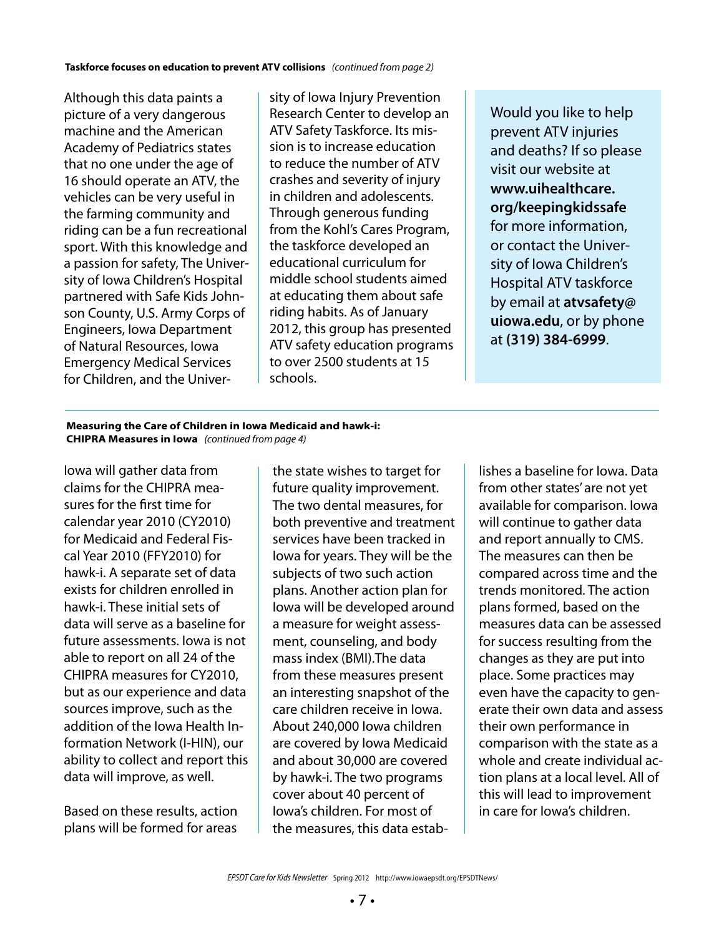Although this data paints a picture of a very dangerous machine and the American Academy of Pediatrics states that no one under the age of 16 should operate an ATV, the vehicles can be very useful in the farming community and riding can be a fun recreational sport. With this knowledge and a passion for safety, The University of Iowa Children's Hospital partnered with Safe Kids Johnson County, U.S. Army Corps of Engineers, Iowa Department of Natural Resources, Iowa Emergency Medical Services for Children, and the Univer-

sity of Iowa Injury Prevention Research Center to develop an ATV Safety Taskforce. Its mission is to increase education to reduce the number of ATV crashes and severity of injury in children and adolescents. Through generous funding from the Kohl's Cares Program, the taskforce developed an educational curriculum for middle school students aimed at educating them about safe riding habits. As of January 2012, this group has presented ATV safety education programs to over 2500 students at 15 schools.

Would you like to help prevent ATV injuries and deaths? If so please visit our website at **www.uihealthcare. org/keepingkidssafe** for more information, or contact the University of Iowa Children's Hospital ATV taskforce by email at **atvsafety@ uiowa.edu**, or by phone at **(319) 384-6999**.

**Measuring the Care of Children in Iowa Medicaid and hawk-i: CHIPRA Measures in Iowa** *(continued from page 4)*

Iowa will gather data from claims for the CHIPRA measures for the first time for calendar year 2010 (CY2010) for Medicaid and Federal Fiscal Year 2010 (FFY2010) for hawk-i. A separate set of data exists for children enrolled in hawk-i. These initial sets of data will serve as a baseline for future assessments. Iowa is not able to report on all 24 of the CHIPRA measures for CY2010, but as our experience and data sources improve, such as the addition of the Iowa Health Information Network (I-HIN), our ability to collect and report this data will improve, as well.

Based on these results, action plans will be formed for areas

the state wishes to target for future quality improvement. The two dental measures, for both preventive and treatment services have been tracked in Iowa for years. They will be the subjects of two such action plans. Another action plan for Iowa will be developed around a measure for weight assessment, counseling, and body mass index (BMI).The data from these measures present an interesting snapshot of the care children receive in Iowa. About 240,000 Iowa children are covered by Iowa Medicaid and about 30,000 are covered by hawk-i. The two programs cover about 40 percent of Iowa's children. For most of the measures, this data estab-

lishes a baseline for Iowa. Data from other states' are not yet available for comparison. Iowa will continue to gather data and report annually to CMS. The measures can then be compared across time and the trends monitored. The action plans formed, based on the measures data can be assessed for success resulting from the changes as they are put into place. Some practices may even have the capacity to generate their own data and assess their own performance in comparison with the state as a whole and create individual action plans at a local level. All of this will lead to improvement in care for Iowa's children.